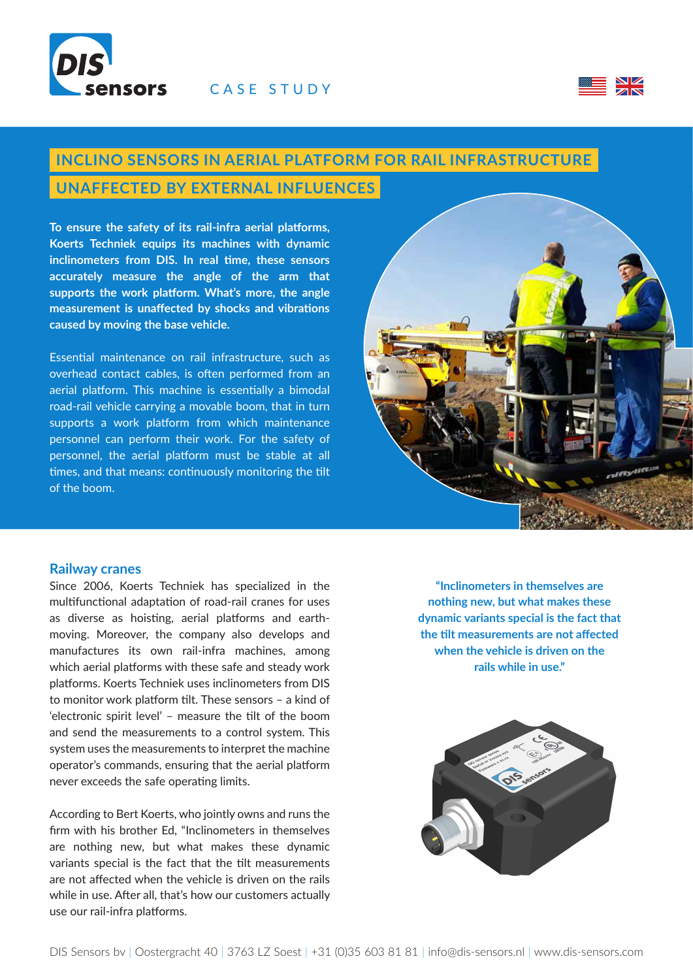



# **INCLINO SENSORS IN AERIAL PLATFORM FOR RAIL INFRASTRUCTURE**

### **UNAFFECTED BY EXTERNAL INFLUENCES**

**To ensure the safety of its rail-infra aerial platforms, Koerts Techniek equips its machines with dynamic inclinometers from DIS. In real time, these sensors accurately measure the angle of the arm that supports the work platform. What's more, the angle measurement is unaffected by shocks and vibrations caused by moving the base vehicle.**

Essential maintenance on rail infrastructure, such as overhead contact cables, is often performed from an aerial platform. This machine is essentially a bimodal road-rail vehicle carrying a movable boom, that in turn supports a work platform from which maintenance personnel can perform their work. For the safety of personnel, the aerial platform must be stable at all times, and that means: continuously monitoring the tilt of the boom.



#### **Railway cranes**

Since 2006, Koerts Techniek has specialized in the multifunctional adaptation of road-rail cranes for uses as diverse as hoisting, aerial platforms and earthmoving. Moreover, the company also develops and manufactures its own rail-infra machines, among which aerial platforms with these safe and steady work platforms. Koerts Techniek uses inclinometers from DIS to monitor work platform tilt. These sensors – a kind of 'electronic spirit level' – measure the tilt of the boom and send the measurements to a control system. This system uses the measurements to interpret the machine operator's commands, ensuring that the aerial platform never exceeds the safe operating limits.

According to Bert Koerts, who jointly owns and runs the firm with his brother Ed, "Inclinometers in themselves are nothing new, but what makes these dynamic variants special is the fact that the tilt measurements are not affected when the vehicle is driven on the rails while in use. After all, that's how our customers actually use our rail-infra platforms.

**"Inclinometers in themselves are nothing new, but what makes these dynamic variants special is the fact that the tilt measurements are not affected when the vehicle is driven on the rails while in use."**